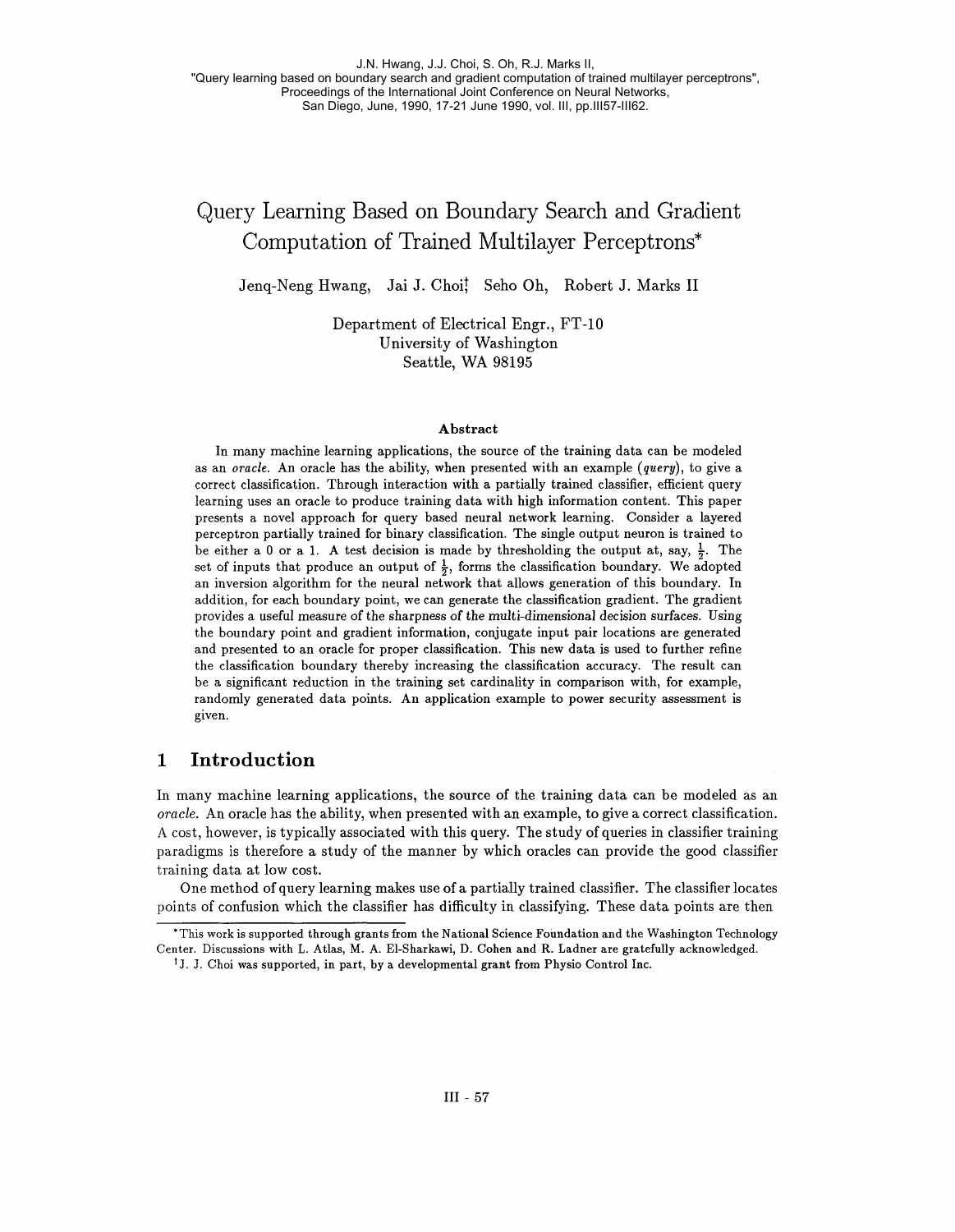# Query Learning Based on Boundary Search and Gradient Computation of Trained Multilayer Perceptrons\*

Jenq-Neng Hwang, Jai J. Choi<sup>†</sup> Seho Oh, Robert J. Marks II

Department of Electrical Engr., FT-10 University of Washington Seattle, WA 98195

#### Abstract

In many machine learning applications, the source of the training data can be modeled as an *oracle*. An oracle has the ability, when presented with an example (query), to give a correct classification. Through interaction with a partially trained classifier, efficient query learning uses an oracle to produce training data with high information content. This paper presents a novel approach for query based neural network learning. Consider a layered perceptron partially trained for binary classification. The single output neuron is trained to be either a 0 or a 1. A test decision is made by thresholding the output at, say,  $\frac{1}{2}$ . The set of inputs that produce an output of  $\frac{1}{2}$ , forms the classification boundary. We adopted an inversion algorithm for the neural network that allows generation of this boundary. In addition, for each boundary point, we can generate the classification gradient. The gradient provides a useful measure of the sharpness of the multi-dimensional decision surfaces. Using the boundary point and gradient information, conjugate input pair locations are generated and presented to an oracle for proper classification. This new data is used to further refine the classification boundary thereby increasing the classification accuracy. The result can be a significant reduction in the training set cardinality in comparison with, for example, randomly generated data points. An application example to power security assessment is given.

# **1 Introduction**

In many machine learning applications, the source of the training data can be modeled as an oracle. An oracle has the ability, when presented with an example, to give a correct classification. A cost, however, is typically associated with this query. The study of queries in classifier training paradigms is therefore a study of the manner by which oracles can provide the good classifier training data at low cost.

One method of query learning makes use of a partially trained classifier. The classifier locates points of confusion which the classifier has difficulty in classifying. These data points are then

<sup>&#</sup>x27;This work is supported through grants from the National Science Foundation and the Washington Technology Center. Discussions with L. Atlas, M. **A.** El-Sharkawi, D. Cohen and R. Ladner are gratefully acknowledged.

<sup>&</sup>lt;sup>†</sup>J. J. Choi was supported, in part, by a developmental grant from Physio Control Inc.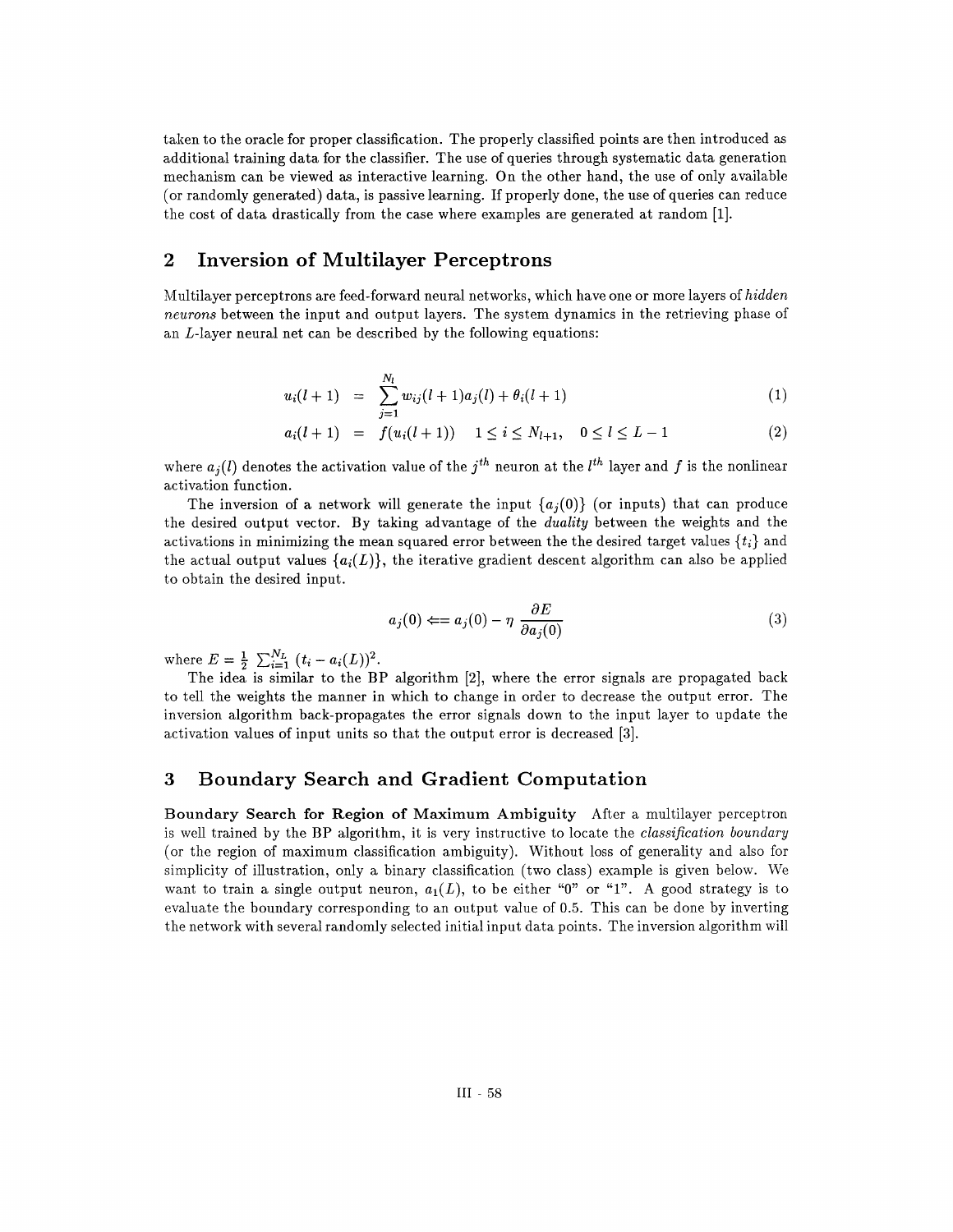taken to the oracle for proper classification. The properly classified points are then introduced as additional training data for the classifier. The use of queries through systematic data generation mechanism can be viewed as interactive learning. On the other hand, the use of only available (or randomly generated) data, is passive learning. If properly done, the use of queries can reduce the cost of data drastically from the case where examples are generated at random [I].

### **2 Inversion of Multilayer Perceptrons**

Multilayer perceptrons are feed-forward neural networks, which have one or more layers of hidden neurons between the input and output layers. The system dynamics in the retrieving phase of an L-layer neural net can be described by the following equations:

$$
u_i(l+1) = \sum_{j=1}^{N_l} w_{ij}(l+1)a_j(l) + \theta_i(l+1)
$$
\n(1)

$$
a_i(l+1) = f(u_i(l+1)) \quad 1 \le i \le N_{l+1}, \quad 0 \le l \le L-1 \tag{2}
$$

where  $a_i(l)$  denotes the activation value of the j<sup>th</sup> neuron at the l<sup>th</sup> layer and f is the nonlinear activation function.

The inversion of a network will generate the input  ${a_i(0)}$  (or inputs) that can produce the desired output vector. By taking advantage of the duality between the weights and the activations in minimizing the mean squared error between the the desired target values  $\{t_i\}$  and the actual output values  $\{a_i(L)\}\$ , the iterative gradient descent algorithm can also be applied to obtain the desired input.

$$
a_j(0) \Longleftarrow a_j(0) - \eta \frac{\partial E}{\partial a_j(0)} \tag{3}
$$

where  $E = \frac{1}{2} \sum_{i=1}^{N_L} (t_i - a_i(L))^2$ .

The idea is similar to the BP algorithm [2], where the error signals are propagated back to tell the weights the manner in which to change in order to decrease the output error. The inversion algorithm back-propagates the error signals down to the input layer to update the activation values of input units so that the output error is decreased [3].

# **3 Boundary Search and Gradient Computation**

**Boundary Search for Region of Maximum Ambiguity** After a multilayer perceptron is well trained by the BP algorithm, it is very instructive to locate the *classification boundary* (or the region of maximum classification ambiguity). Without loss of generality and also for simplicity of illustration, only a binary classification (two class) example is given below. We want to train a single output neuron,  $a_1(L)$ , to be either "0" or "1". A good strategy is to evaluate the boundary corresponding to an output value of 0.5. This can be done by inverting the network with several randomly selected initial input data points. The inversion algorithm will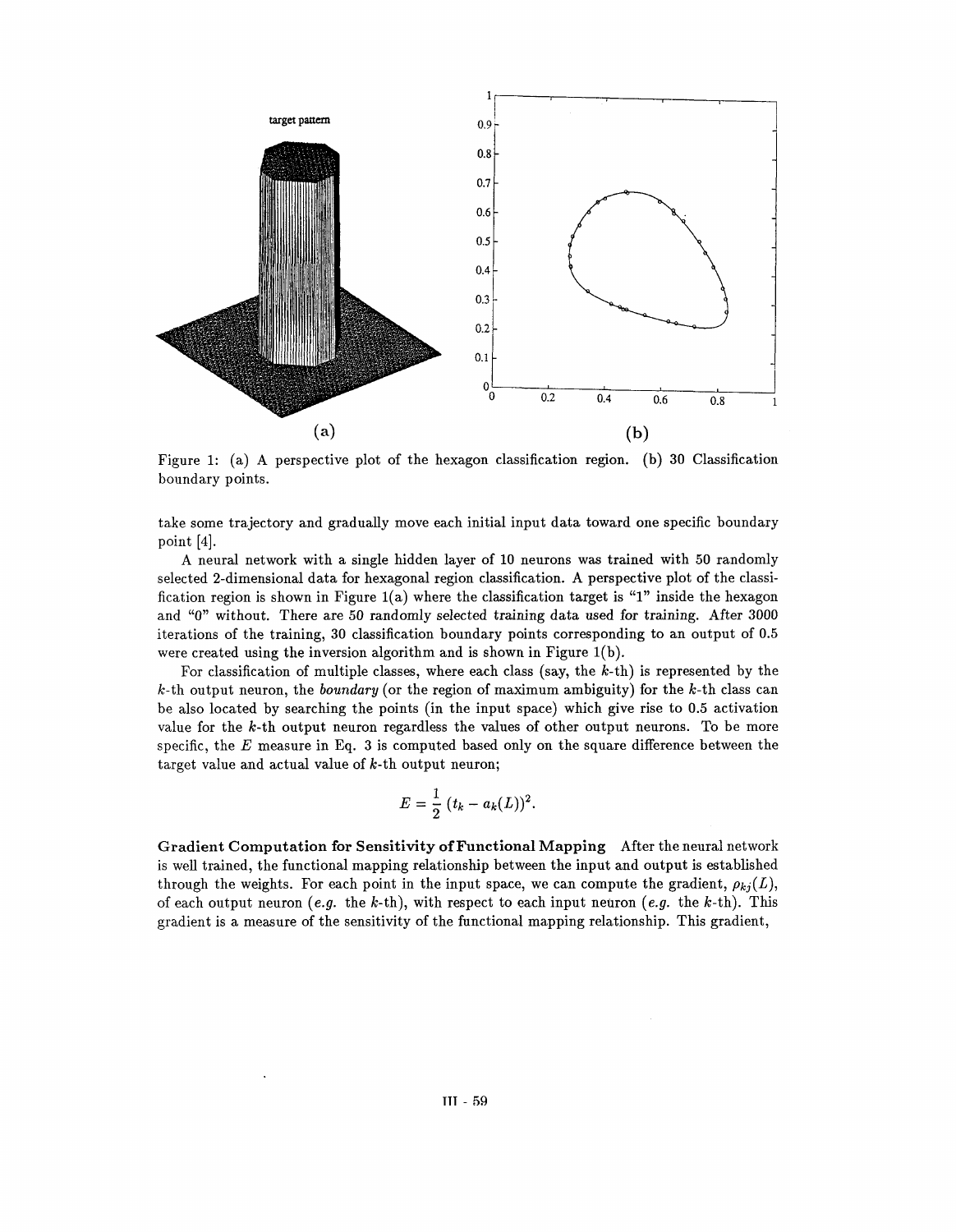

Figure 1: (a) A perspective plot of the hexagon classification region. (b) **30** Classification boundary points.

take some trajectory and gradually move each initial input data toward one specific boundary point [4].

A neural network with a single hidden layer of **10** neurons was trained with **50** randomly selected 2-dimensional data for hexagonal region classification. **A** perspective plot of the classification region is shown in Figure l(a) where the classification target is **"1"** inside the hexagon and **"0"** without. There are **50** randomly selected training data used for training. After **3000**  iterations of the training, **30** classification boundary points corresponding to an output of **0.5**  were created using the inversion algorithm and is shown in Figure 1(b).

For classification of multiple classes, where each class (say, the  $k$ -th) is represented by the k-th output neuron, the boundary (or the region of maximum ambiguity) for the k-th class can be also located by searching the points (in the input space) which give rise to 0.5 activation value for the k-th output neuron regardless the values of other output neurons. To be more specific, the E measure in Eq. **3** is computed based only on the square difference between the target value and actual value of  $k$ -th output neuron;

$$
E=\frac{1}{2}\left(t_k-a_k(L)\right)^2.
$$

**Gradient Computation for Sensitivity of Functional Mapping** After the neural network is well trained, the functional mapping relationship between the input and output is established through the weights. For each point in the input space, we can compute the gradient,  $\rho_{ki}(L)$ , of each output neuron (e.g. the k-th), with respect to each input neuron (e.g. the k-th). This gradient is a measure of the sensitivity of the functional mapping relationship. This gradient,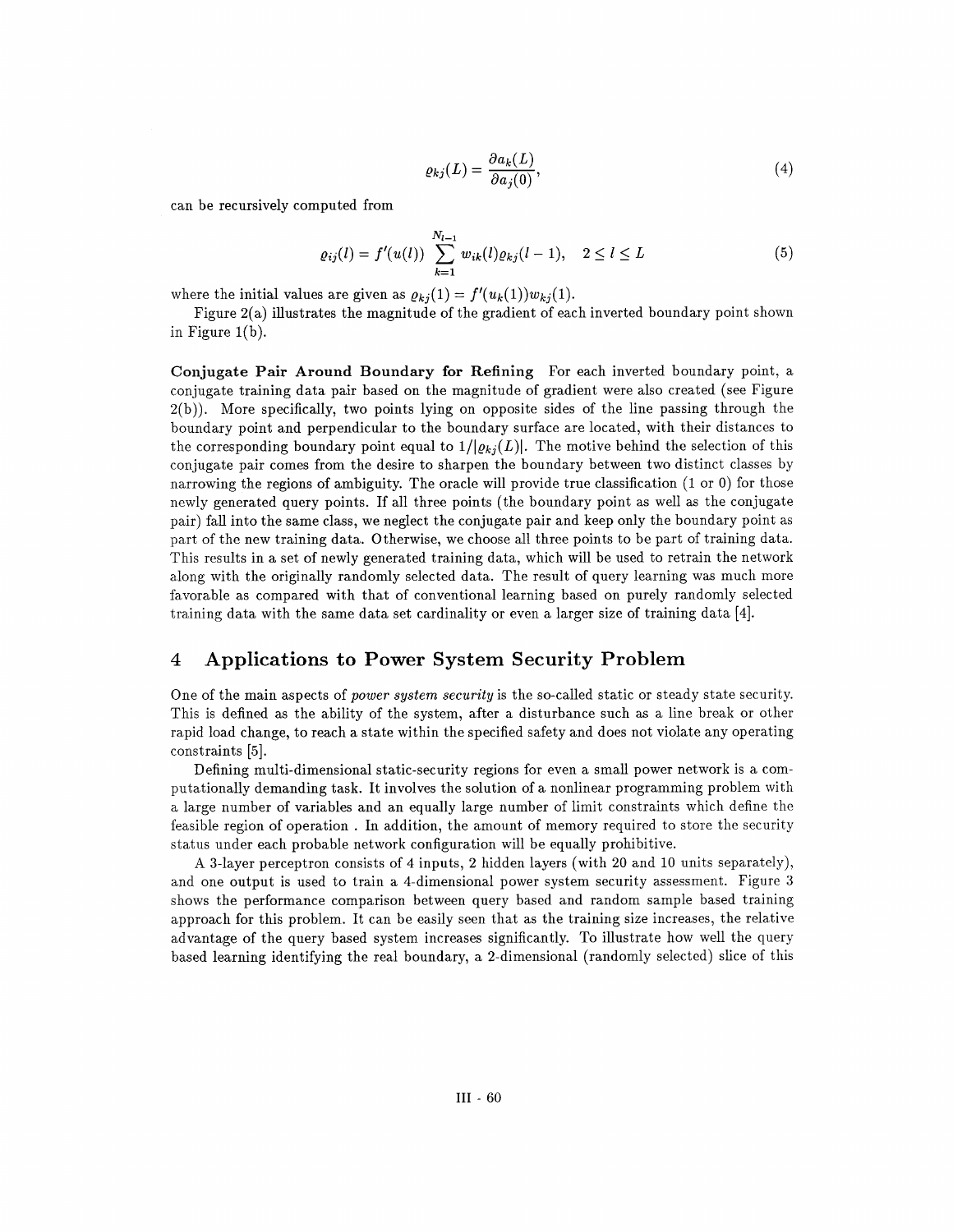$$
\varrho_{kj}(L) = \frac{\partial a_k(L)}{\partial a_j(0)},\tag{4}
$$

can be recursively computed from

$$
\varrho_{ij}(l) = f'(u(l)) \sum_{k=1}^{N_{l-1}} w_{ik}(l) \varrho_{kj}(l-1), \quad 2 \le l \le L \tag{5}
$$

where the initial values are given as  $\rho_{kj}(1) = f'(u_k(1))w_{ki}(1)$ .

Figure 2(a) illustrates the magnitude of the gradient of each inverted boundary point shown in Figure l(b).

**Conjugate Pair Around Boundary for Refining** For each inverted boundary point, a conjugate training data pair based on the magnitude of gradient were also created (see Figure 2(b)). More specifically, two points lying on opposite sides of the line passing through the boundary point and perpendicular to the boundary surface are located, with their distances to the corresponding boundary point equal to  $1/|\rho_{ki}(L)|$ . The motive behind the selection of this conjugate pair comes from the desire to sharpen the boundary between two distinct classes by narrowing the regions of ambiguity. The oracle will provide true classification (1 or 0) for those newly generated query points. If all three points (the boundary point as well **as** the conjugate pair) fall into the same class, we neglect the conjugate pair and keep only the boundary point as part of the new training data. Otherwise, we choose all three points to be part of training data. This results in a set of newly generated training data, which will be used to retrain the network along with the originally randomly selected data. The result of query learning was much more favorable as compared with that of conventional learning based on purely randomly selected training data with the same data set cardinality or even a larger size of training data **[4].** 

# 4 **Applications to Power System Security Problem**

One of the main aspects of *power system security* is the so-called static or steady state security. This is defined as the ability of the system, after a disturbance such **as** a line break or other rapid load change, to reach a state within the specified safety and does not violate any operating constraints **[5].** 

Defining multi-dimensional static-security regions for even a small power network is a computationally demanding task. It involves the solution of a nonlinear programming problem with a large number of variables and an equally large number of limit constraints which define the feasible region of operation . In addition, the amount of memory required to store the security status under each probable network configuration will be equally prohibitive.

A 3-layer perceptron consists of 4 inputs, 2 hidden layers (with 20 and 10 units separately), and one output is used to train a 4-dimensional power system security assessment. Figure **3**  shows the performance comparison between query based and random sample based training approach for this problem. It can be easily seen that as the training size increases, the relative advantage of the query based system increases significantly. To illustrate how well the query based learning identifying the real boundary, a 2-dimensional (randomly selected) slice of this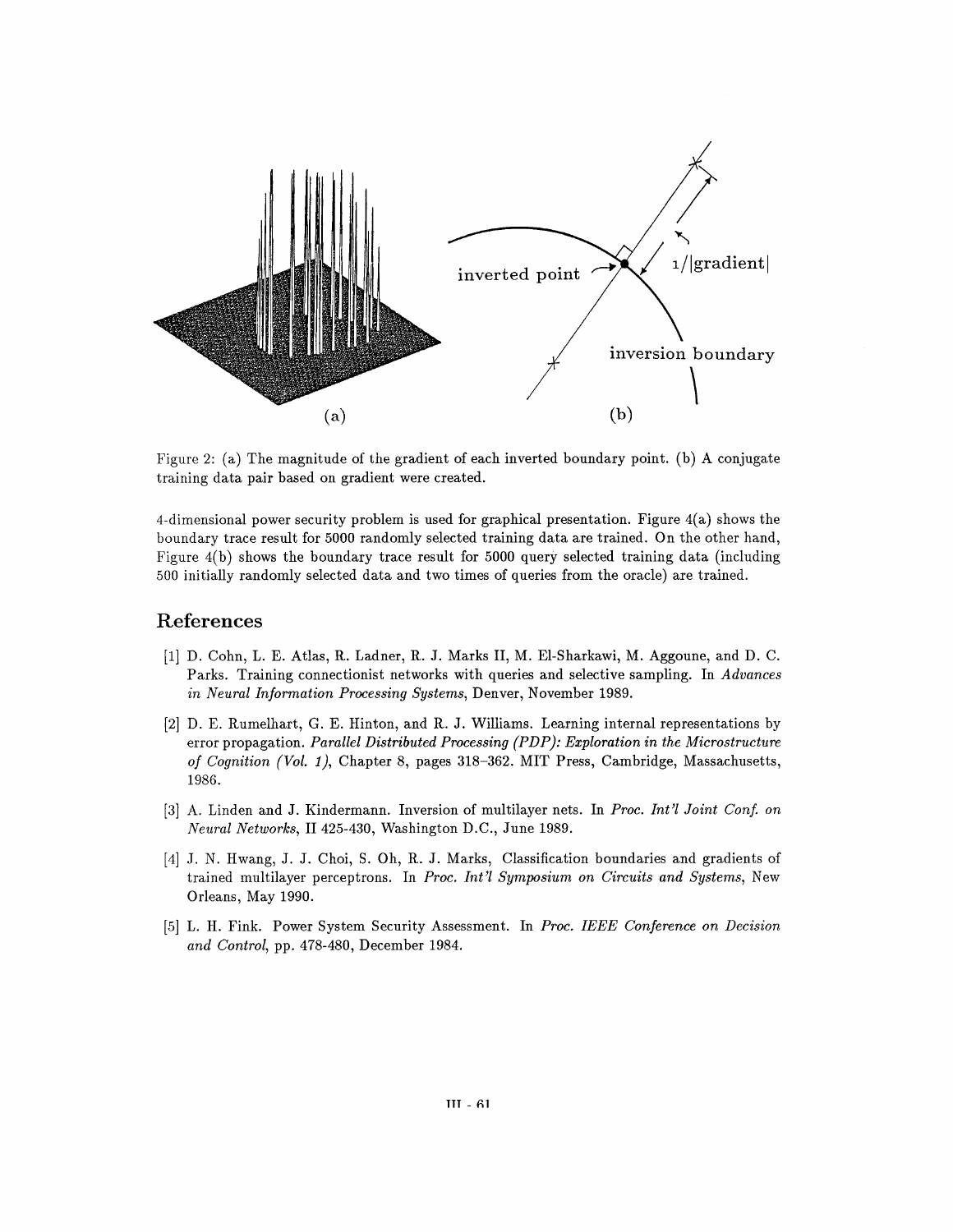

Figure 2: (a) The magnitude of the gradient of each inverted boundary point. (b) A conjugate training data pair based on gradient were created.

4-dimensional power security problem is used for graphical presentation. Figure 4(a) shows the boundary trace result for 5000 randomly selected training data are trained. On the other hand, Figure 4(b) shows the boundary trace result for 5000 query selected training data (including 500 initially randomly selected data and two times of queries from the oracle) are trained.

# **References**

- [I] D. Cohn, L. E. Atlas, R. Ladner, R. J. Marks 11, M. El-Sharkawi, M. Aggoune, and D. C. Parks. Training connectionist networks with queries and selective sampling. In Advances in Neural Information Processing Systems, Denver, November 1989.
- [2] D. E. Rumelhart, G. E. Hinton, and R. J. Williams. Learning internal representations by error propagation. Parallel Distributed Processing (PDP): Exploration in the Microstructure of Cognition (Vol. *I),* Chapter 8, pages 318-362. MIT Press, Cambridge, Massachusetts, 1986.
- [3] A. Linden and J. Kindermann. Inversion of multilayer nets. In Proc. Int'l Joint Conf. on Neural Networks, I1 425-430, Washington D.C., June 1989.
- **[4] J. N.** Hwang, J. J. Choi, S. Oh, R. J. Marks, Classification boundaries and gradients of trained multilayer perceptrons. In Proc. Int'l Symposium on Circuits and Systems, New Orleans, May 1990.
- [5] L. H. Fink. Power System Security Assessment. In Proc. IEEE Conference on Decision and Control, pp. 478-480, December 1984.